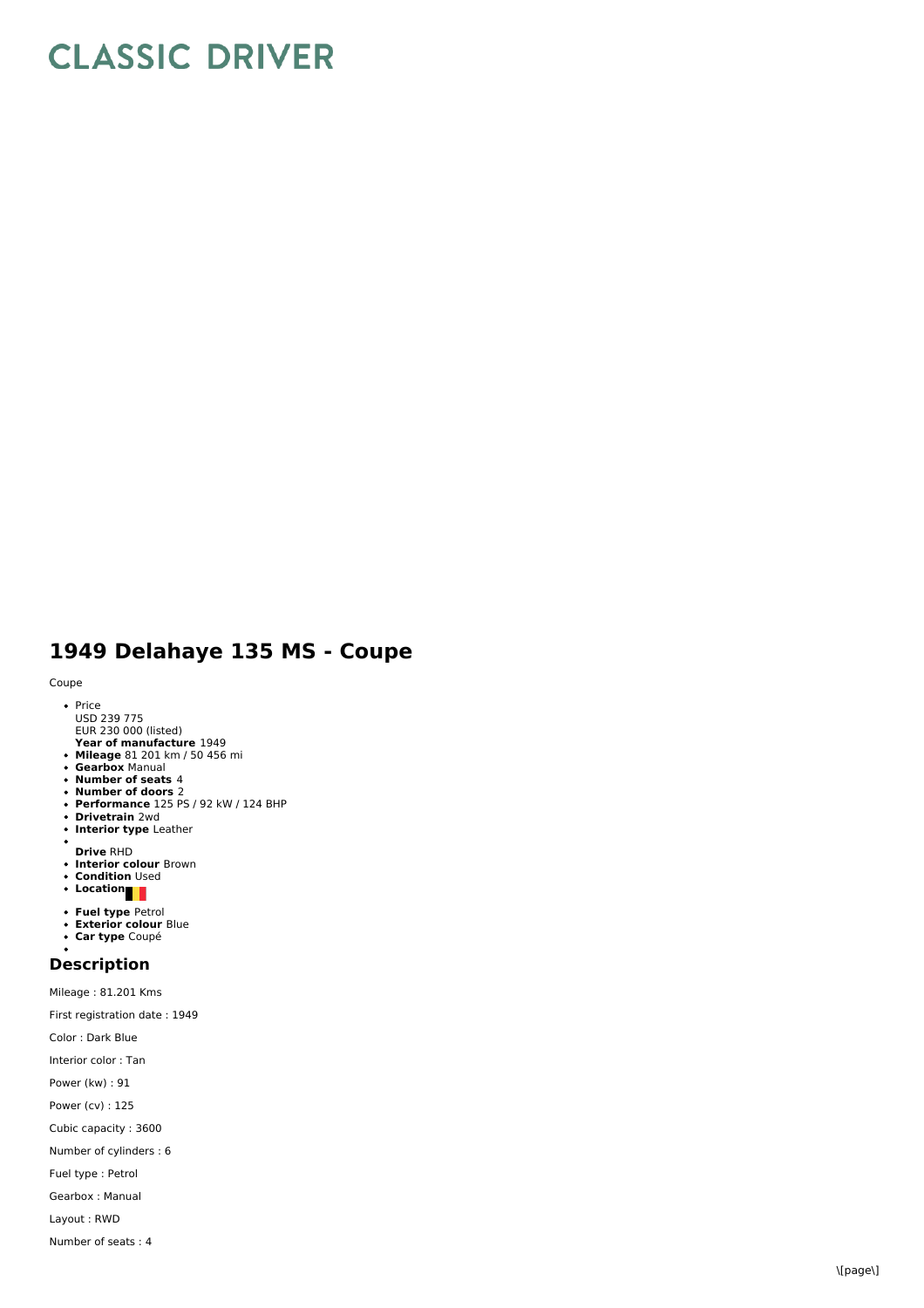## **CLASSIC DRIVER**

## **1 9 4 9 D ela h a y e 1 3 5 M S - C o u p e**

## Coupe

- <sub>'</sub>e<br>Price USD 239 775<br>EUR 230 000 (listed)
- **Year of manufacture** 1949 **Year of manufacture** 1949<br>**Mileage** 81 201 km / 50 456 mi
- **Gearbox** Manual
- **Number of seats** 4
- **Number of doors** 2
- **Performance** 125 PS / 92 kW / 124 BHP
- **D riv e t r ain** 2 w d
- **Interior type** Leather
- 
- **Drive** RHD<br>**Interior colour** Brown
- **C o n ditio n** U s e d
- **L o c a tio n**
- **Fuel type Petrol**
- **Exterior colour** Blu e
- $\bullet$ **C a r t y p e** C o u p é

## **Description**

Mileage : 81.201 Kms First registration date : 19 4 9 Color : Dark Blue Interior color : Ta n P o w e r (k w) : 9 1 P o w e r (c v) : 1 2 5 Cubic capacity : 3600 Number of cylinders : 6 Fuel type : Petrol Gearbox : Manual Layout : RWD Number of seats : 4